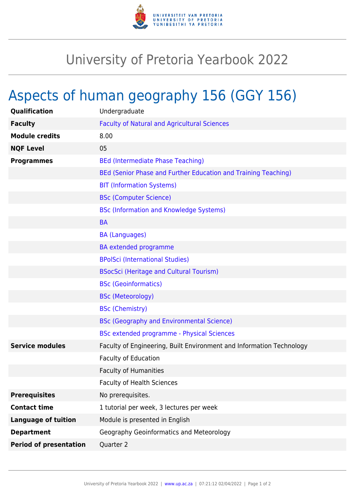

## University of Pretoria Yearbook 2022

## Aspects of human geography 156 (GGY 156)

| Qualification                 | Undergraduate                                                        |
|-------------------------------|----------------------------------------------------------------------|
| <b>Faculty</b>                | <b>Faculty of Natural and Agricultural Sciences</b>                  |
| <b>Module credits</b>         | 8.00                                                                 |
| <b>NQF Level</b>              | 05                                                                   |
| <b>Programmes</b>             | <b>BEd (Intermediate Phase Teaching)</b>                             |
|                               | BEd (Senior Phase and Further Education and Training Teaching)       |
|                               | <b>BIT (Information Systems)</b>                                     |
|                               | <b>BSc (Computer Science)</b>                                        |
|                               | <b>BSc (Information and Knowledge Systems)</b>                       |
|                               | <b>BA</b>                                                            |
|                               | <b>BA (Languages)</b>                                                |
|                               | <b>BA</b> extended programme                                         |
|                               | <b>BPolSci (International Studies)</b>                               |
|                               | <b>BSocSci (Heritage and Cultural Tourism)</b>                       |
|                               | <b>BSc (Geoinformatics)</b>                                          |
|                               | <b>BSc (Meteorology)</b>                                             |
|                               | <b>BSc (Chemistry)</b>                                               |
|                               | <b>BSc (Geography and Environmental Science)</b>                     |
|                               | <b>BSc extended programme - Physical Sciences</b>                    |
| <b>Service modules</b>        | Faculty of Engineering, Built Environment and Information Technology |
|                               | <b>Faculty of Education</b>                                          |
|                               | <b>Faculty of Humanities</b>                                         |
|                               | <b>Faculty of Health Sciences</b>                                    |
| <b>Prerequisites</b>          | No prerequisites.                                                    |
| <b>Contact time</b>           | 1 tutorial per week, 3 lectures per week                             |
| <b>Language of tuition</b>    | Module is presented in English                                       |
| <b>Department</b>             | Geography Geoinformatics and Meteorology                             |
| <b>Period of presentation</b> | Quarter 2                                                            |
|                               |                                                                      |